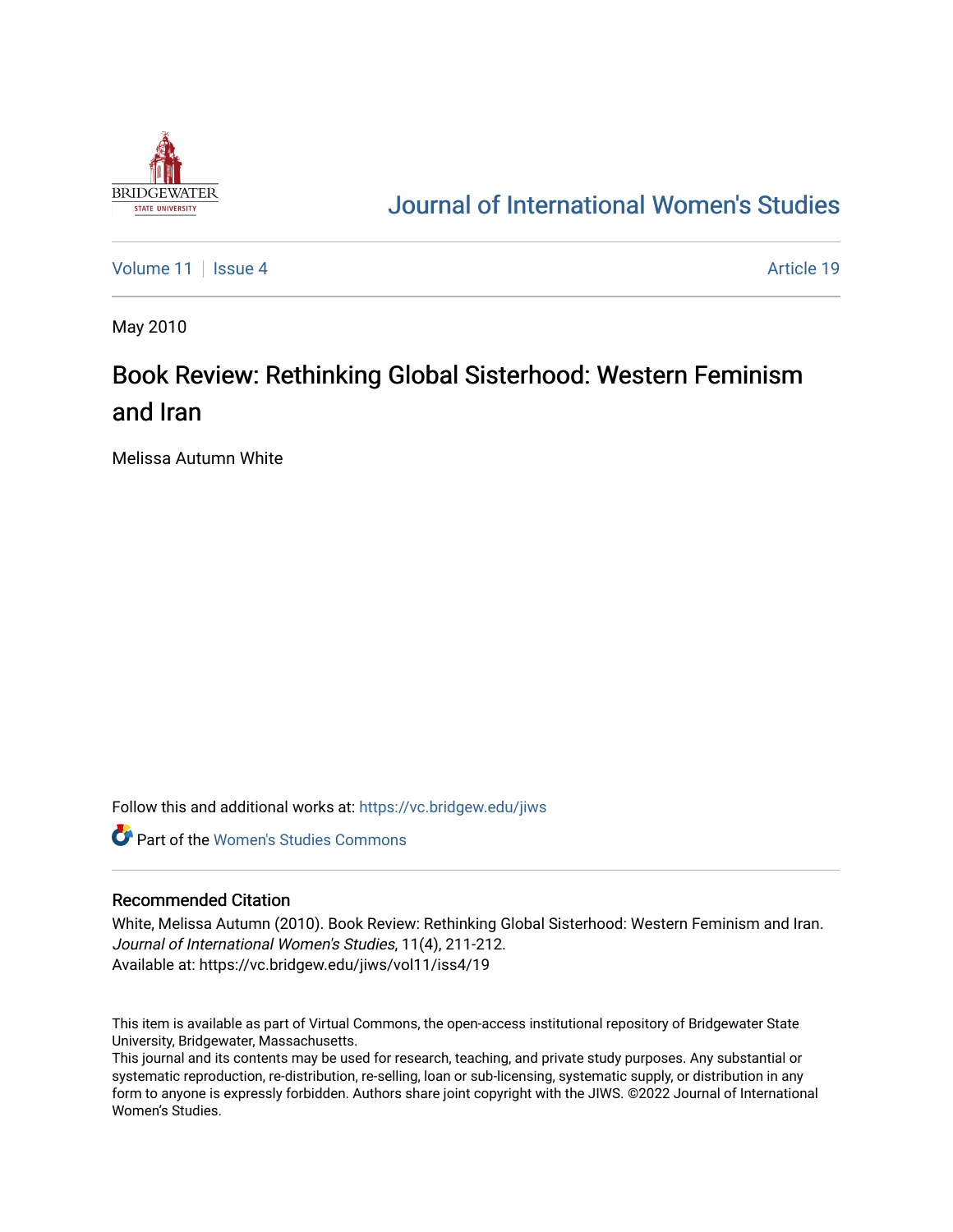

## [Journal of International Women's Studies](https://vc.bridgew.edu/jiws)

[Volume 11](https://vc.bridgew.edu/jiws/vol11) | [Issue 4](https://vc.bridgew.edu/jiws/vol11/iss4) Article 19

May 2010

## Book Review: Rethinking Global Sisterhood: Western Feminism and Iran

Melissa Autumn White

Follow this and additional works at: [https://vc.bridgew.edu/jiws](https://vc.bridgew.edu/jiws?utm_source=vc.bridgew.edu%2Fjiws%2Fvol11%2Fiss4%2F19&utm_medium=PDF&utm_campaign=PDFCoverPages)

**C** Part of the Women's Studies Commons

## Recommended Citation

White, Melissa Autumn (2010). Book Review: Rethinking Global Sisterhood: Western Feminism and Iran. Journal of International Women's Studies, 11(4), 211-212. Available at: https://vc.bridgew.edu/jiws/vol11/iss4/19

This item is available as part of Virtual Commons, the open-access institutional repository of Bridgewater State University, Bridgewater, Massachusetts.

This journal and its contents may be used for research, teaching, and private study purposes. Any substantial or systematic reproduction, re-distribution, re-selling, loan or sub-licensing, systematic supply, or distribution in any form to anyone is expressly forbidden. Authors share joint copyright with the JIWS. ©2022 Journal of International Women's Studies.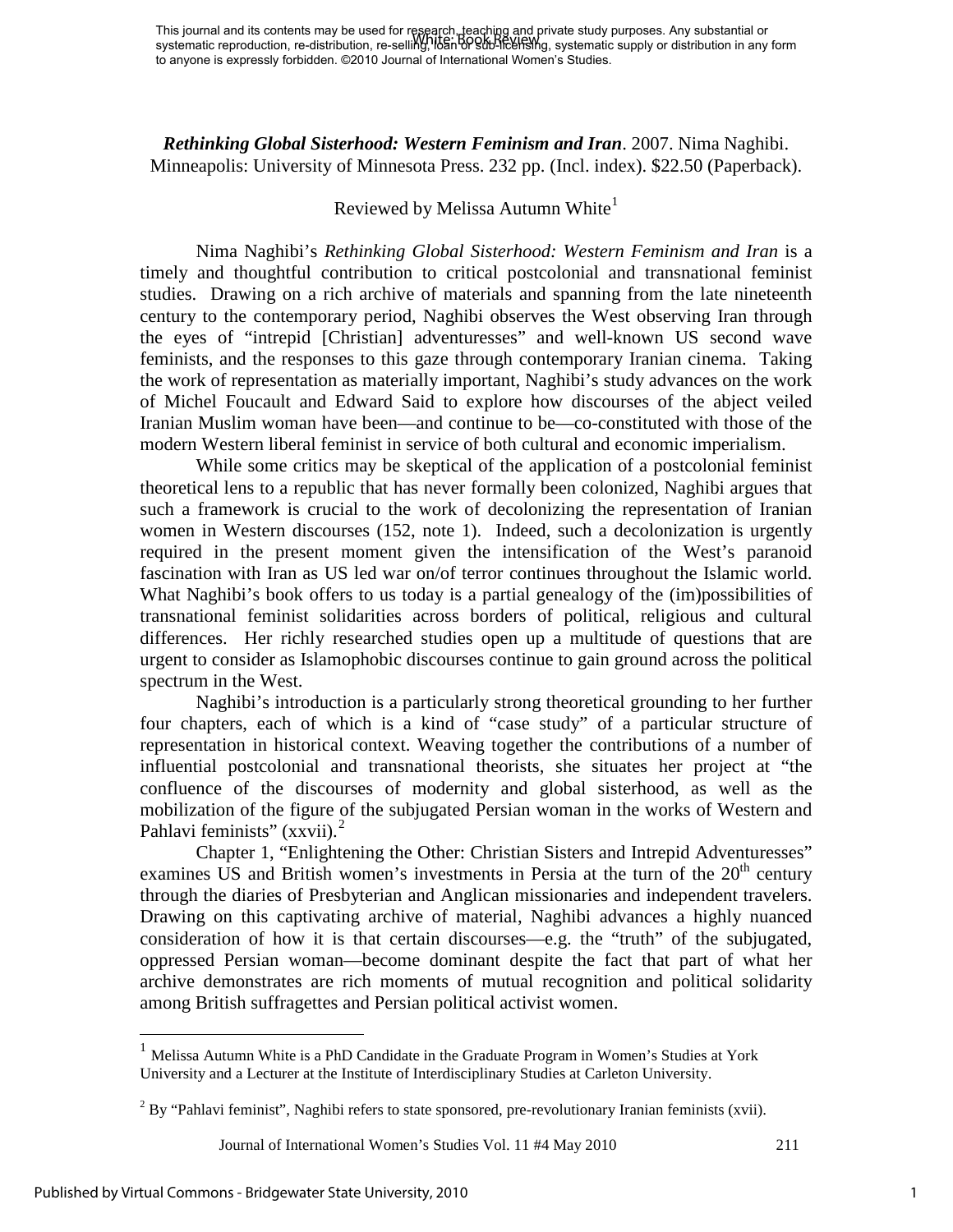This journal and its contents may be used for research, teaching and private study purposes. Any substantial or systematic reproduction, re-distribution, re-selli**ng, !tഠān රිඋප්ඨාධ විර්ථාව** systematic supply or distribution in any form to anyone is expressly forbidden. ©2010 Journal of International Women's Studies. White: Book Review

*Rethinking Global Sisterhood: Western Feminism and Iran*. 2007. Nima Naghibi. Minneapolis: University of Minnesota Press. 232 pp. (Incl. index). \$22.50 (Paperback).

## Reviewed by Melissa Autumn White $<sup>1</sup>$  $<sup>1</sup>$  $<sup>1</sup>$ </sup>

Nima Naghibi's *Rethinking Global Sisterhood: Western Feminism and Iran* is a timely and thoughtful contribution to critical postcolonial and transnational feminist studies. Drawing on a rich archive of materials and spanning from the late nineteenth century to the contemporary period, Naghibi observes the West observing Iran through the eyes of "intrepid [Christian] adventuresses" and well-known US second wave feminists, and the responses to this gaze through contemporary Iranian cinema. Taking the work of representation as materially important, Naghibi's study advances on the work of Michel Foucault and Edward Said to explore how discourses of the abject veiled Iranian Muslim woman have been—and continue to be—co-constituted with those of the modern Western liberal feminist in service of both cultural and economic imperialism.

While some critics may be skeptical of the application of a postcolonial feminist theoretical lens to a republic that has never formally been colonized, Naghibi argues that such a framework is crucial to the work of decolonizing the representation of Iranian women in Western discourses (152, note 1). Indeed, such a decolonization is urgently required in the present moment given the intensification of the West's paranoid fascination with Iran as US led war on/of terror continues throughout the Islamic world. What Naghibi's book offers to us today is a partial genealogy of the (im)possibilities of transnational feminist solidarities across borders of political, religious and cultural differences. Her richly researched studies open up a multitude of questions that are urgent to consider as Islamophobic discourses continue to gain ground across the political spectrum in the West.

Naghibi's introduction is a particularly strong theoretical grounding to her further four chapters, each of which is a kind of "case study" of a particular structure of representation in historical context. Weaving together the contributions of a number of influential postcolonial and transnational theorists, she situates her project at "the confluence of the discourses of modernity and global sisterhood, as well as the mobilization of the figure of the subjugated Persian woman in the works of Western and Pahlavi feminists" (xxvii).<sup>[2](#page-1-1)</sup>

Chapter 1, "Enlightening the Other: Christian Sisters and Intrepid Adventuresses" examines US and British women's investments in Persia at the turn of the  $20<sup>th</sup>$  century through the diaries of Presbyterian and Anglican missionaries and independent travelers. Drawing on this captivating archive of material, Naghibi advances a highly nuanced consideration of how it is that certain discourses—e.g. the "truth" of the subjugated, oppressed Persian woman—become dominant despite the fact that part of what her archive demonstrates are rich moments of mutual recognition and political solidarity among British suffragettes and Persian political activist women.

 $\overline{a}$ 

<span id="page-1-0"></span> $<sup>1</sup>$  Melissa Autumn White is a PhD Candidate in the Graduate Program in Women's Studies at York</sup> University and a Lecturer at the Institute of Interdisciplinary Studies at Carleton University.

<span id="page-1-1"></span> $2^2$  By "Pahlavi feminist", Naghibi refers to state sponsored, pre-revolutionary Iranian feminists (xvii).

Journal of International Women's Studies Vol. 11 #4 May 2010 211